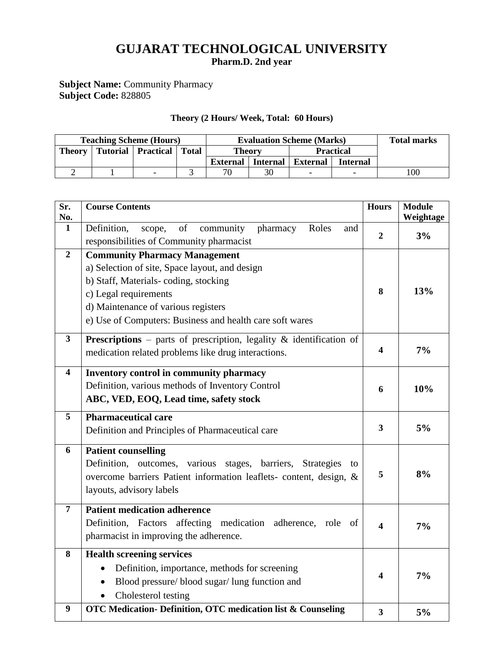# **GUJARAT TECHNOLOGICAL UNIVERSITY Pharm.D. 2nd year**

### **Subject Name:** Community Pharmacy **Subject Code:** 828805

## **Theory (2 Hours/ Week, Total: 60 Hours)**

| <b>Teaching Scheme (Hours)</b> |  |                              |  | <b>Evaluation Scheme (Marks)</b> |    |                          |                 | <b>Total marks</b> |
|--------------------------------|--|------------------------------|--|----------------------------------|----|--------------------------|-----------------|--------------------|
| <b>Theory</b>                  |  | Tutorial   Practical   Total |  | <b>Theory</b>                    |    | <b>Practical</b>         |                 |                    |
|                                |  |                              |  | <b>External</b> Internal         |    | <b>External</b>          | <b>Internal</b> |                    |
|                                |  |                              |  | 70                               | 30 | $\overline{\phantom{0}}$ |                 | 100                |

| Sr.<br>No.              | <b>Course Contents</b>                                                                                                                                                                                                                                     | <b>Hours</b>   | <b>Module</b><br>Weightage |
|-------------------------|------------------------------------------------------------------------------------------------------------------------------------------------------------------------------------------------------------------------------------------------------------|----------------|----------------------------|
| $\mathbf{1}$            | Definition,<br>of<br>community<br>pharmacy<br>Roles<br>scope,<br>and<br>responsibilities of Community pharmacist                                                                                                                                           | $\overline{2}$ | 3%                         |
| $\boldsymbol{2}$        | <b>Community Pharmacy Management</b><br>a) Selection of site, Space layout, and design<br>b) Staff, Materials-coding, stocking<br>c) Legal requirements<br>d) Maintenance of various registers<br>e) Use of Computers: Business and health care soft wares | 8              | 13%                        |
| 3                       | <b>Prescriptions</b> – parts of prescription, legality $\&$ identification of<br>medication related problems like drug interactions.                                                                                                                       | 4              | 7%                         |
| $\overline{\mathbf{4}}$ | Inventory control in community pharmacy<br>Definition, various methods of Inventory Control<br>ABC, VED, EOQ, Lead time, safety stock                                                                                                                      | 6              | 10%                        |
| 5                       | <b>Pharmaceutical care</b><br>Definition and Principles of Pharmaceutical care                                                                                                                                                                             | 3              | 5%                         |
| 6                       | <b>Patient counselling</b><br>Definition, outcomes, various stages, barriers, Strategies<br>to<br>overcome barriers Patient information leaflets- content, design, &<br>layouts, advisory labels                                                           | 5              | 8%                         |
| $\overline{7}$          | <b>Patient medication adherence</b><br>Definition, Factors affecting medication adherence, role of<br>pharmacist in improving the adherence.                                                                                                               | 4              | 7%                         |
| 8                       | <b>Health screening services</b><br>Definition, importance, methods for screening<br>Blood pressure/blood sugar/lung function and<br>Cholesterol testing<br>$\bullet$                                                                                      | 4              | 7%                         |
| 9                       | <b>OTC Medication- Definition, OTC medication list &amp; Counseling</b>                                                                                                                                                                                    | 3              | 5%                         |